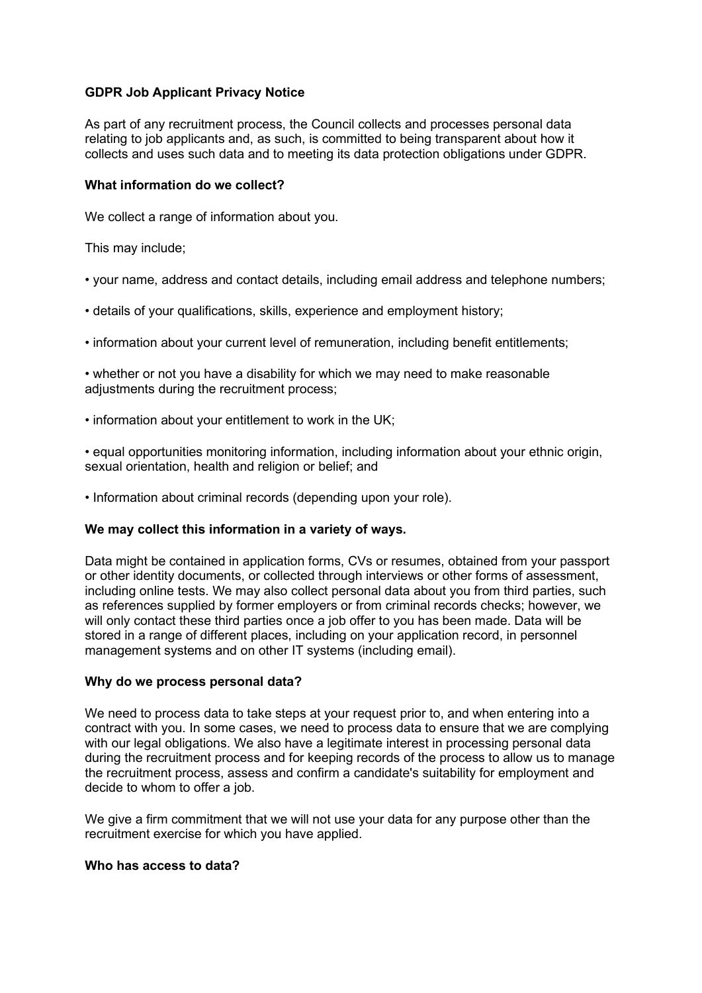# **GDPR Job Applicant Privacy Notice**

As part of any recruitment process, the Council collects and processes personal data relating to job applicants and, as such, is committed to being transparent about how it collects and uses such data and to meeting its data protection obligations under GDPR.

## **What information do we collect?**

We collect a range of information about you.

This may include;

- your name, address and contact details, including email address and telephone numbers;
- details of your qualifications, skills, experience and employment history;
- information about your current level of remuneration, including benefit entitlements;

• whether or not you have a disability for which we may need to make reasonable adjustments during the recruitment process;

• information about your entitlement to work in the UK;

• equal opportunities monitoring information, including information about your ethnic origin, sexual orientation, health and religion or belief; and

• Information about criminal records (depending upon your role).

# **We may collect this information in a variety of ways.**

Data might be contained in application forms, CVs or resumes, obtained from your passport or other identity documents, or collected through interviews or other forms of assessment, including online tests. We may also collect personal data about you from third parties, such as references supplied by former employers or from criminal records checks; however, we will only contact these third parties once a job offer to you has been made. Data will be stored in a range of different places, including on your application record, in personnel management systems and on other IT systems (including email).

#### **Why do we process personal data?**

We need to process data to take steps at your request prior to, and when entering into a contract with you. In some cases, we need to process data to ensure that we are complying with our legal obligations. We also have a legitimate interest in processing personal data during the recruitment process and for keeping records of the process to allow us to manage the recruitment process, assess and confirm a candidate's suitability for employment and decide to whom to offer a job.

We give a firm commitment that we will not use your data for any purpose other than the recruitment exercise for which you have applied.

#### **Who has access to data?**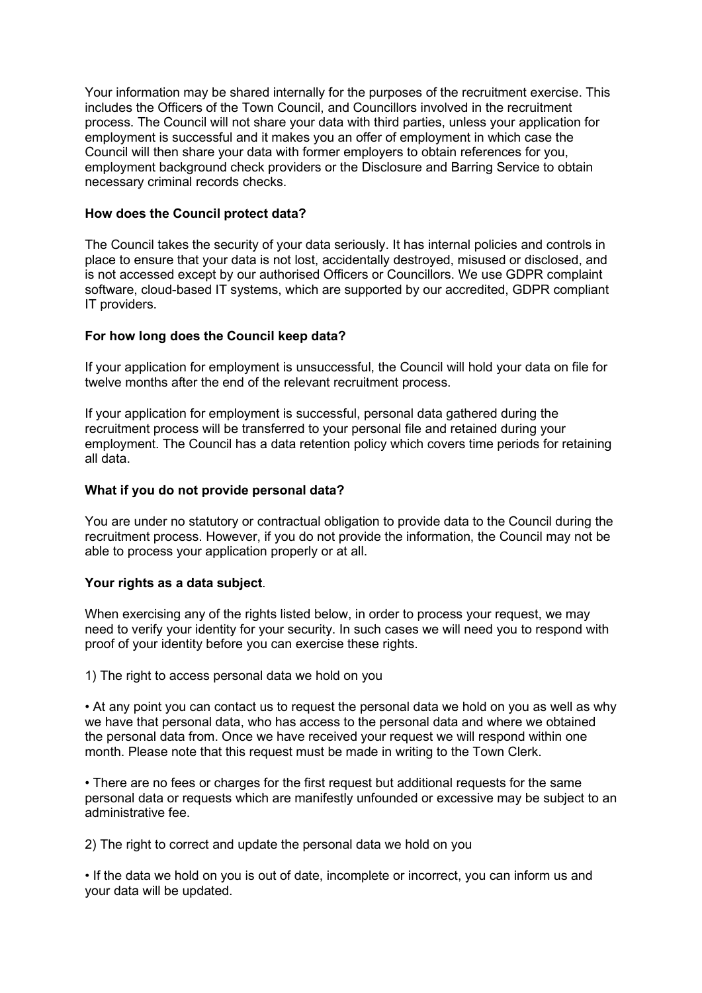Your information may be shared internally for the purposes of the recruitment exercise. This includes the Officers of the Town Council, and Councillors involved in the recruitment process. The Council will not share your data with third parties, unless your application for employment is successful and it makes you an offer of employment in which case the Council will then share your data with former employers to obtain references for you, employment background check providers or the Disclosure and Barring Service to obtain necessary criminal records checks.

## **How does the Council protect data?**

The Council takes the security of your data seriously. It has internal policies and controls in place to ensure that your data is not lost, accidentally destroyed, misused or disclosed, and is not accessed except by our authorised Officers or Councillors. We use GDPR complaint software, cloud-based IT systems, which are supported by our accredited, GDPR compliant IT providers.

## **For how long does the Council keep data?**

If your application for employment is unsuccessful, the Council will hold your data on file for twelve months after the end of the relevant recruitment process.

If your application for employment is successful, personal data gathered during the recruitment process will be transferred to your personal file and retained during your employment. The Council has a data retention policy which covers time periods for retaining all data.

## **What if you do not provide personal data?**

You are under no statutory or contractual obligation to provide data to the Council during the recruitment process. However, if you do not provide the information, the Council may not be able to process your application properly or at all.

#### **Your rights as a data subject**.

When exercising any of the rights listed below, in order to process your request, we may need to verify your identity for your security. In such cases we will need you to respond with proof of your identity before you can exercise these rights.

1) The right to access personal data we hold on you

• At any point you can contact us to request the personal data we hold on you as well as why we have that personal data, who has access to the personal data and where we obtained the personal data from. Once we have received your request we will respond within one month. Please note that this request must be made in writing to the Town Clerk.

• There are no fees or charges for the first request but additional requests for the same personal data or requests which are manifestly unfounded or excessive may be subject to an administrative fee.

2) The right to correct and update the personal data we hold on you

• If the data we hold on you is out of date, incomplete or incorrect, you can inform us and your data will be updated.